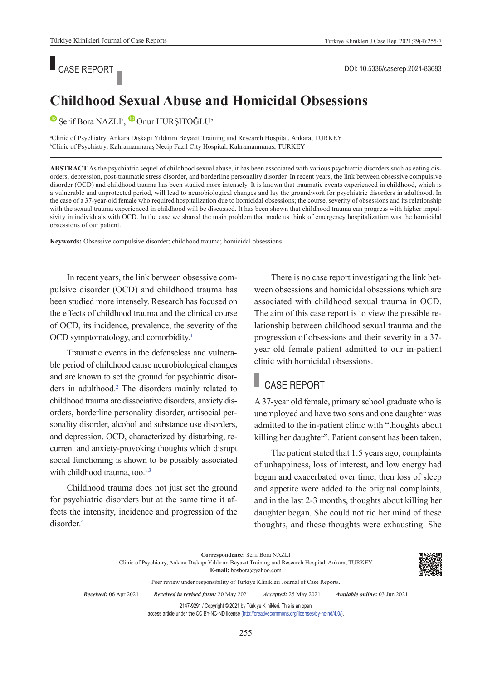# ■ CASE REPORT ■ CASE REPORT ■ POI: 10.5336/caserep.2021-83683

### **Childhood Sexual Abuse and Homicidal Obsessions**

SerifBora NAZLI<sup>a</sup>, Onur HURŞITOĞLU<sup>b</sup>

a Clinic of Psychiatry, Ankara Dışkapı Yıldırım Beyazıt Training and Research Hospital, Ankara, TURKEY b Clinic of Psychiatry, Kahramanmaraş Necip Fazıl City Hospital, Kahramanmaraş, TURKEY

**ABS TRACT** As the psychiatric sequel of childhood sexual abuse, it has been associated with various psychiatric disorders such as eating disorders, depression, post-traumatic stress disorder, and borderline personality disorder. In recent years, the link between obsessive compulsive disorder (OCD) and childhood trauma has been studied more intensely. It is known that traumatic events experienced in childhood, which is a vulnerable and unprotected period, will lead to neurobiological changes and lay the groundwork for psychiatric disorders in adulthood. In the case of a 37-year-old female who required hospitalization due to homicidal obsessions; the course, severity of obsessions and its relationship with the sexual trauma experienced in childhood will be discussed. It has been shown that childhood trauma can progress with higher impulsivity in individuals with OCD. In the case we shared the main problem that made us think of emergency hospitalization was the homicidal obsessions of our patient.

**Keywords:** Obsessive compulsive disorder; childhood trauma; homicidal obsessions

In recent years, the link between obsessive compulsive disorder (OCD) and childhood trauma has been studied more intensely. Research has focused on the effects of childhood trauma and the clinical course of OCD, its incidence, prevalence, the severity of the OCD symptomatology, and comorbidity.<sup>1</sup>

Traumatic events in the defenseless and vulnerable period of childhood cause neurobiological changes and are known to set the ground for psychiatric disorders in adulthood.<sup>2</sup> The disorders mainly related to childhood trauma are dissociative disorders, anxiety disorders, borderline personality disorder, antisocial personality disorder, alcohol and substance use disorders, and depression. OCD, characterized by disturbing, recurrent and anxiety-provoking thoughts which disrupt social functioning is shown to be possibly associated with childhood trauma, too.<sup>1,3</sup>

Childhood trauma does not just set the ground for psychiatric disorders but at the same time it affects the intensity, incidence and progression of the disorder[.4](#page-2-0)

There is no case report investigating the link between obsessions and homicidal obsessions which are associated with childhood sexual trauma in OCD. The aim of this case report is to view the possible relationship between childhood sexual trauma and the progression of obsessions and their severity in a 37 year old female patient admitted to our in-patient clinic with homicidal obsessions.

## CASE REPORT

A 37-year old female, primary school graduate who is unemployed and have two sons and one daughter was admitted to the in-patient clinic with "thoughts about killing her daughter". Patient consent has been taken.

The patient stated that 1.5 years ago, complaints of unhappiness, loss of interest, and low energy had begun and exacerbated over time; then loss of sleep and appetite were added to the original complaints, and in the last 2-3 months, thoughts about killing her daughter began. She could not rid her mind of these thoughts, and these thoughts were exhausting. She

| Correspondence: Serif Bora NAZLI<br>Clinic of Psychiatry, Ankara Diskapi Yildirim Beyazit Training and Research Hospital, Ankara, TURKEY<br><b>E-mail:</b> bosbora@yahoo.com |                                       |                              |                                      |  |
|------------------------------------------------------------------------------------------------------------------------------------------------------------------------------|---------------------------------------|------------------------------|--------------------------------------|--|
| Peer review under responsibility of Turkiye Klinikleri Journal of Case Reports.                                                                                              |                                       |                              |                                      |  |
| <b>Received:</b> 06 Apr 2021                                                                                                                                                 | Received in revised form: 20 May 2021 | <i>Accepted:</i> 25 May 2021 | <i>Available online:</i> 03 Jun 2021 |  |
| 2147-9291 / Copyright © 2021 by Türkiye Klinikleri. This is an open<br>access article under the CC BY-NC-ND license (http://creativecommons.org/licenses/by-nc-nd/4.0/).     |                                       |                              |                                      |  |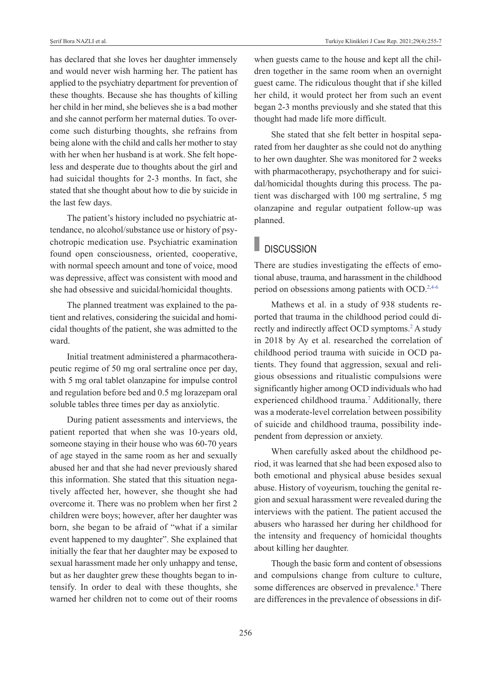has declared that she loves her daughter immensely and would never wish harming her. The patient has applied to the psychiatry department for prevention of these thoughts. Because she has thoughts of killing her child in her mind, she believes she is a bad mother and she cannot perform her maternal duties. To overcome such disturbing thoughts, she refrains from being alone with the child and calls her mother to stay with her when her husband is at work. She felt hopeless and desperate due to thoughts about the girl and had suicidal thoughts for 2-3 months. In fact, she stated that she thought about how to die by suicide in the last few days.

The patient's history included no psychiatric attendance, no alcohol/substance use or history of psychotropic medication use. Psychiatric examination found open consciousness, oriented, cooperative, with normal speech amount and tone of voice, mood was depressive, affect was consistent with mood and she had obsessive and suicidal/homicidal thoughts.

The planned treatment was explained to the patient and relatives, considering the suicidal and homicidal thoughts of the patient, she was admitted to the ward.

Initial treatment administered a pharmacotherapeutic regime of 50 mg oral sertraline once per day, with 5 mg oral tablet olanzapine for impulse control and regulation before bed and 0.5 mg lorazepam oral soluble tables three times per day as anxiolytic.

During patient assessments and interviews, the patient reported that when she was 10-years old, someone staying in their house who was 60-70 years of age stayed in the same room as her and sexually abused her and that she had never previously shared this information. She stated that this situation negatively affected her, however, she thought she had overcome it. There was no problem when her first 2 children were boys; however, after her daughter was born, she began to be afraid of "what if a similar event happened to my daughter". She explained that initially the fear that her daughter may be exposed to sexual harassment made her only unhappy and tense, but as her daughter grew these thoughts began to intensify. In order to deal with these thoughts, she warned her children not to come out of their rooms when guests came to the house and kept all the children together in the same room when an overnight guest came. The ridiculous thought that if she killed her child, it would protect her from such an event began 2-3 months previously and she stated that this thought had made life more difficult.

She stated that she felt better in hospital separated from her daughter as she could not do anything to her own daughter. She was monitored for 2 weeks with pharmacotherapy, psychotherapy and for suicidal/homicidal thoughts during this process. The patient was discharged with 100 mg sertraline, 5 mg olanzapine and regular outpatient follow-up was planned.

## **DISCUSSION**

There are studies investigating the effects of emotional abuse, trauma, and harassment in the childhood period on obsessions among patients with OCD[.2,4-6](#page-2-0)

Mathews et al. in a study of 938 students reported that trauma in the childhood period could directly and indirectly affect OCD symptoms.<sup>2</sup> A study in 2018 by Ay et al. researched the correlation of childhood period trauma with suicide in OCD patients. They found that aggression, sexual and religious obsessions and ritualistic compulsions were significantly higher among OCD individuals who had experienced childhood trauma.<sup>7</sup> Additionally, there was a moderate-level correlation between possibility of suicide and childhood trauma, possibility independent from depression or anxiety.

When carefully asked about the childhood period, it was learned that she had been exposed also to both emotional and physical abuse besides sexual abuse. History of voyeurism, touching the genital region and sexual harassment were revealed during the interviews with the patient. The patient accused the abusers who harassed her during her childhood for the intensity and frequency of homicidal thoughts about killing her daughter.

Though the basic form and content of obsessions and compulsions change from culture to culture, some differences are observed in prevalence.<sup>8</sup> There are differences in the prevalence of obsessions in dif-